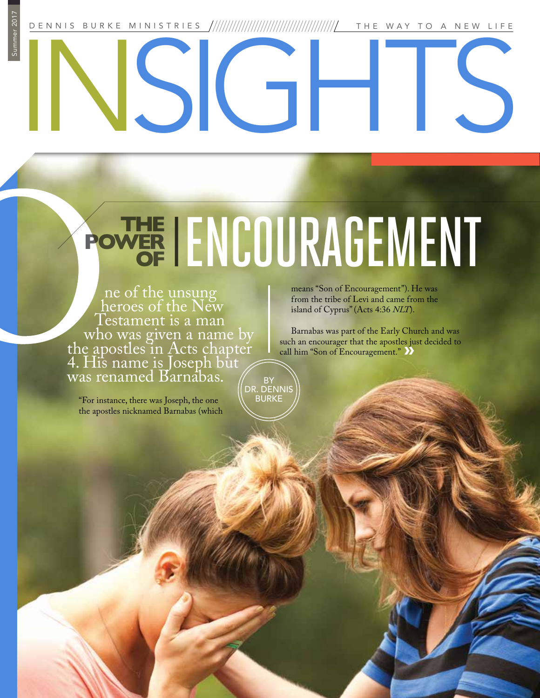DENNIS BURKE MINISTRIES THE WAY TO A NEW LIFE

SIGHT

## ENCOURAGEMENT **THE POWER OF**

ne of the unsung heroes of the New Testament is a man who was given a name by<br>the apostles in Acts chapter 4. His name is Joseph būt was renamed Barnabas.

"For instance, there was Joseph, the one the apostles nicknamed Barnabas (which means "Son of Encouragement"). He was from the tribe of Levi and came from the island of Cyprus" (Acts 4:36 *NLT*).

Barnabas was part of the Early Church and was such an encourager that the apostles just decided to call him "Son of Encouragement." **»**

BY DR. DENNIS BURKE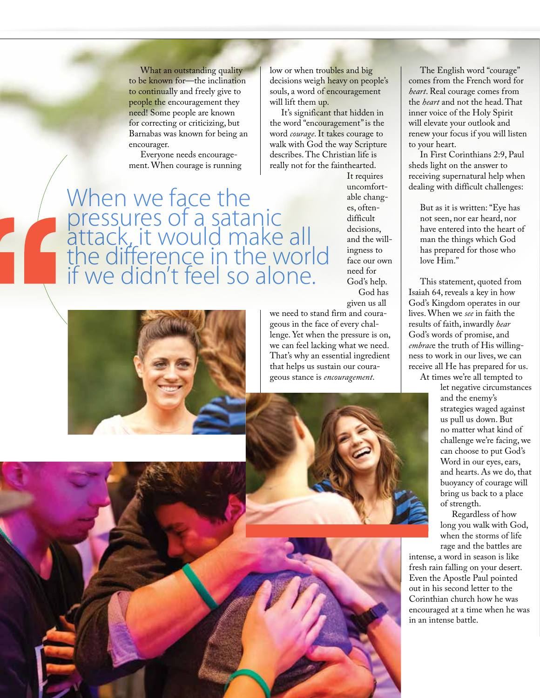What an outstanding quality to be known for—the inclination to continually and freely give to people the encouragement they need! Some people are known for correcting or criticizing, but Barnabas was known for being an encourager.

Everyone needs encouragement. When courage is running

When we face the pressures of a satanic attack, it would make all the difference in the world if we didn't feel so alone.

low or when troubles and big decisions weigh heavy on people's souls, a word of encouragement will lift them up.

It's significant that hidden in the word "encouragement" is the word *courage*. It takes courage to walk with God the way Scripture describes. The Christian life is really not for the fainthearted.

It requires uncomfortable changes, oftendifficult decisions, and the willingness to face our own need for God's help. God has given us all

we need to stand firm and courageous in the face of every challenge. Yet when the pressure is on, we can feel lacking what we need. That's why an essential ingredient that helps us sustain our courageous stance is *encouragement*.



The English word "courage" comes from the French word for *heart*. Real courage comes from the *heart* and not the head. That inner voice of the Holy Spirit will elevate your outlook and renew your focus if you will listen to your heart.

In First Corinthians 2:9, Paul sheds light on the answer to receiving supernatural help when dealing with difficult challenges:

But as it is written: "Eye has not seen, nor ear heard, nor have entered into the heart of man the things which God has prepared for those who love Him."

This statement, quoted from Isaiah 64, reveals a key in how God's Kingdom operates in our lives. When we *see* in faith the results of faith, inwardly *hear* God's words of promise, and *embrac*e the truth of His willingness to work in our lives, we can receive all He has prepared for us. At times we're all tempted to

let negative circumstances and the enemy's strategies waged against us pull us down. But no matter what kind of challenge we're facing, we can choose to put God's Word in our eyes, ears, and hearts. As we do, that buoyancy of courage will bring us back to a place of strength.

Regardless of how long you walk with God, when the storms of life rage and the battles are

intense, a word in season is like fresh rain falling on your desert. Even the Apostle Paul pointed out in his second letter to the Corinthian church how he was encouraged at a time when he was in an intense battle.

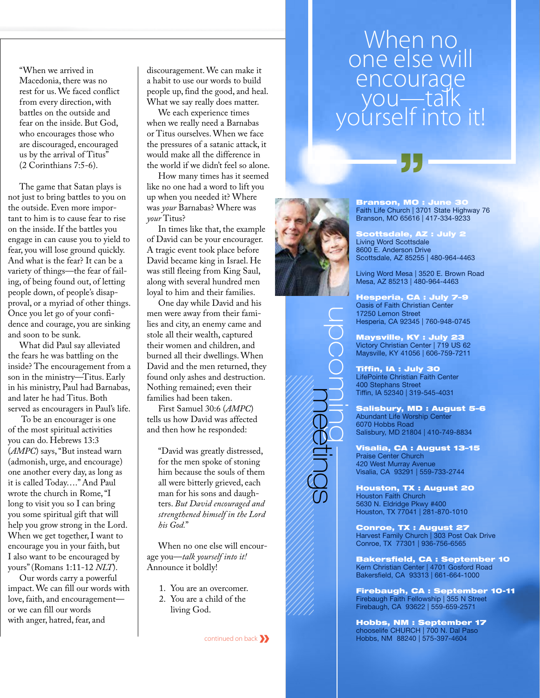"When we arrived in Macedonia, there was no rest for us. We faced conflict from every direction, with battles on the outside and fear on the inside. But God, who encourages those who are discouraged, encouraged us by the arrival of Titus" (2 Corinthians 7:5-6).

The game that Satan plays is not just to bring battles to you on the outside. Even more important to him is to cause fear to rise on the inside. If the battles you engage in can cause you to yield to fear, you will lose ground quickly. And what is the fear? It can be a variety of things—the fear of failing, of being found out, of letting people down, of people's disapproval, or a myriad of other things. Once you let go of your confidence and courage, you are sinking and soon to be sunk.

What did Paul say alleviated the fears he was battling on the inside? The encouragement from a son in the ministry—Titus. Early in his ministry, Paul had Barnabas, and later he had Titus. Both served as encouragers in Paul's life.

 To be an encourager is one of the most spiritual activities you can do. Hebrews 13:3 (*AMPC*) says, "But instead warn (admonish, urge, and encourage) one another every day, as long as it is called Today…." And Paul wrote the church in Rome, "I long to visit you so I can bring you some spiritual gift that will help you grow strong in the Lord. When we get together, I want to encourage you in your faith, but I also want to be encouraged by yours" (Romans 1:11-12 *NLT*).

Our words carry a powerful impact. We can fill our words with love, faith, and encouragement or we can fill our words with anger, hatred, fear, and

discouragement. We can make it a habit to use our words to build people up, find the good, and heal. What we say really does matter.

We each experience times when we really need a Barnabas or Titus ourselves. When we face the pressures of a satanic attack, it would make all the difference in the world if we didn't feel so alone.

How many times has it seemed like no one had a word to lift you up when you needed it? Where was *your* Barnabas? Where was *your* Titus?

In times like that, the example of David can be your encourager. A tragic event took place before David became king in Israel. He was still fleeing from King Saul, along with several hundred men loyal to him and their families.

One day while David and his men were away from their families and city, an enemy came and stole all their wealth, captured their women and children, and burned all their dwellings. When David and the men returned, they found only ashes and destruction. Nothing remained; even their families had been taken.

First Samuel 30:6 (*AMPC*) tells us how David was affected and then how he responded:

"David was greatly distressed, for the men spoke of stoning him because the souls of them all were bitterly grieved, each man for his sons and daughters. *But David encouraged and strengthened himself in the Lord his God.*"

When no one else will encourage you—*talk yourself into it!* Announce it boldly!

- 1. You are an overcomer.
- 2. You are a child of the living God.

continued on back**»**

## When no. one else will encourage you—talk<br>ourself into it!



meetings

Branson, MO : June Faith Life Church | 3701 State Highway 76 Branson, MO 65616 | 417-334-9233

Scottsdale, AZ : July 2 Living Word Scottsdale 8600 E. Anderson Drive Scottsdale, AZ 85255 | 480-964-4463

Living Word Mesa | 3520 E. Brown Road Mesa, AZ 85213 | 480-964-4463

Hesperia, CA : July 7–9 Oasis of Faith Christian Center 17250 Lemon Street Hesperia, CA 92345 | 760-948-0745

Maysville, KY : July 23 Victory Christian Center | 719 US 62 Maysville, KY 41056 | 606-759-7211

Tiffin, IA : July 30 LifePointe Christian Faith Center 400 Stephans Street Tiffin, IA 52340 | 319-545-4031

Salisbury, MD : August 5–6 Abundant Life Worship Center 6070 Hobbs Road Salisbury, MD 21804 | 410-749-8834

Visalia, CA : August 13–15 Praise Center Church 420 West Murray Avenue Visalia, CA 93291 | 559-733-2744

Houston, TX : August 20 Houston Faith Church 5630 N. Eldridge Pkwy #400 Houston, TX 77041 | 281-870-1010

Conroe, TX : August 27 Harvest Family Church | 303 Post Oak Drive Conroe, TX 77301 | 936-756-6565

Bakersfield, CA : September 10 Kern Christian Center | 4701 Gosford Road Bakersfield, CA 93313 | 661-664-1000

Firebaugh, CA : September 10-11 Firebaugh Faith Fellowship | 355 N Street Firebaugh, CA 93622 | 559-659-2571

Hobbs, NM : September 17 chooselife CHURCH | 700 N. Dal Paso Hobbs, NM 88240 | 575-397-4604